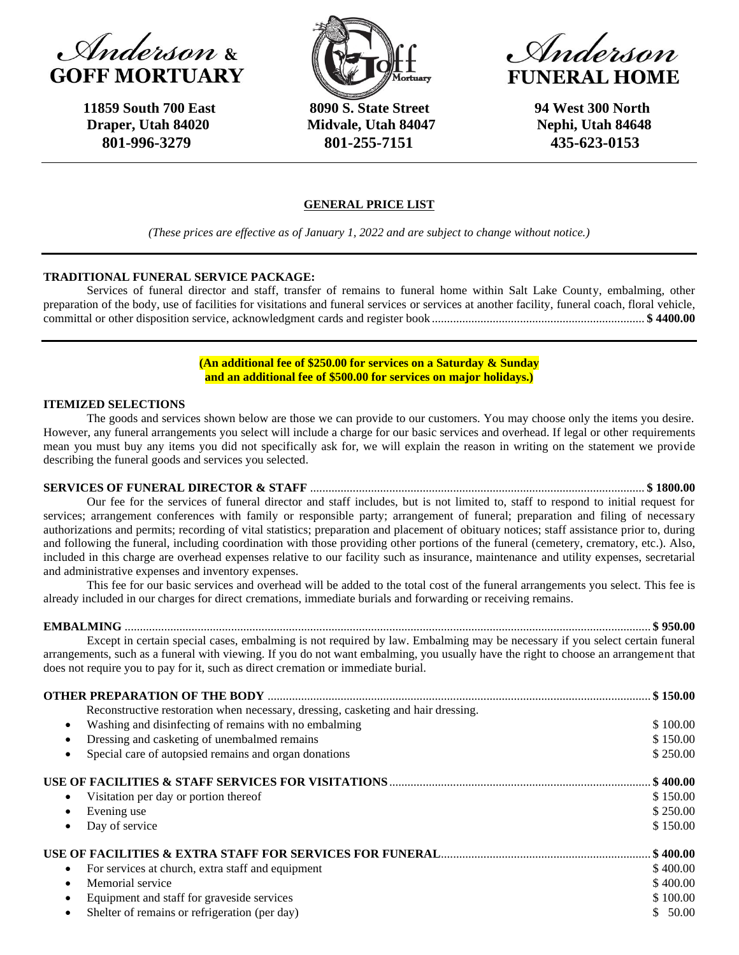



 **11859 South 700 East 8090 S. State Street 94 West 300 North**  **Draper, Utah 84020 Midvale, Utah 84047 Nephi, Utah 84648 801-996-3279 801-255-7151 435-623-0153**

, Anderson **FUNERAL HOME** 

### **GENERAL PRICE LIST**

*(These prices are effective as of January 1, 2022 and are subject to change without notice.)*

#### **TRADITIONAL FUNERAL SERVICE PACKAGE:**

Services of funeral director and staff, transfer of remains to funeral home within Salt Lake County, embalming, other preparation of the body, use of facilities for visitations and funeral services or services at another facility, funeral coach, floral vehicle, committal or other disposition service, acknowledgment cards and register book ...................................................................... **\$ 4400.00**

> **(An additional fee of \$250.00 for services on a Saturday & Sunday and an additional fee of \$500.00 for services on major holidays.)**

#### **ITEMIZED SELECTIONS**

The goods and services shown below are those we can provide to our customers. You may choose only the items you desire. However, any funeral arrangements you select will include a charge for our basic services and overhead. If legal or other requirements mean you must buy any items you did not specifically ask for, we will explain the reason in writing on the statement we provide describing the funeral goods and services you selected.

## **SERVICES OF FUNERAL DIRECTOR & STAFF** .............................................................................................................. **\$ 1800.00**

Our fee for the services of funeral director and staff includes, but is not limited to, staff to respond to initial request for services; arrangement conferences with family or responsible party; arrangement of funeral; preparation and filing of necessary authorizations and permits; recording of vital statistics; preparation and placement of obituary notices; staff assistance prior to, during and following the funeral, including coordination with those providing other portions of the funeral (cemetery, crematory, etc.). Also, included in this charge are overhead expenses relative to our facility such as insurance, maintenance and utility expenses, secretarial and administrative expenses and inventory expenses.

This fee for our basic services and overhead will be added to the total cost of the funeral arrangements you select. This fee is already included in our charges for direct cremations, immediate burials and forwarding or receiving remains.

**EMBALMING** ............................................................................................................................................................................. **\$ 950.00**

Except in certain special cases, embalming is not required by law. Embalming may be necessary if you select certain funeral arrangements, such as a funeral with viewing. If you do not want embalming, you usually have the right to choose an arrangement that does not require you to pay for it, such as direct cremation or immediate burial.

| Reconstructive restoration when necessary, dressing, casketing and hair dressing.<br>Washing and disinfecting of remains with no embalming<br>Dressing and casketing of unembalmed remains<br>Special care of autopsied remains and organ donations<br>Visitation per day or portion thereof |                         |
|----------------------------------------------------------------------------------------------------------------------------------------------------------------------------------------------------------------------------------------------------------------------------------------------|-------------------------|
|                                                                                                                                                                                                                                                                                              |                         |
|                                                                                                                                                                                                                                                                                              | \$100.00                |
|                                                                                                                                                                                                                                                                                              | \$150.00                |
|                                                                                                                                                                                                                                                                                              | \$250.00                |
|                                                                                                                                                                                                                                                                                              | $\frac{1}{2}$ \$ 400.00 |
|                                                                                                                                                                                                                                                                                              | \$150.00                |
| Evening use                                                                                                                                                                                                                                                                                  | \$250.00                |
| Day of service                                                                                                                                                                                                                                                                               | \$150.00                |
|                                                                                                                                                                                                                                                                                              | $.$ \$ 400.00 $.$       |
| For services at church, extra staff and equipment                                                                                                                                                                                                                                            | \$400.00                |
| Memorial service                                                                                                                                                                                                                                                                             | \$400.00                |
| Equipment and staff for graveside services                                                                                                                                                                                                                                                   | \$100.00                |
| Shelter of remains or refrigeration (per day)                                                                                                                                                                                                                                                | \$50.00                 |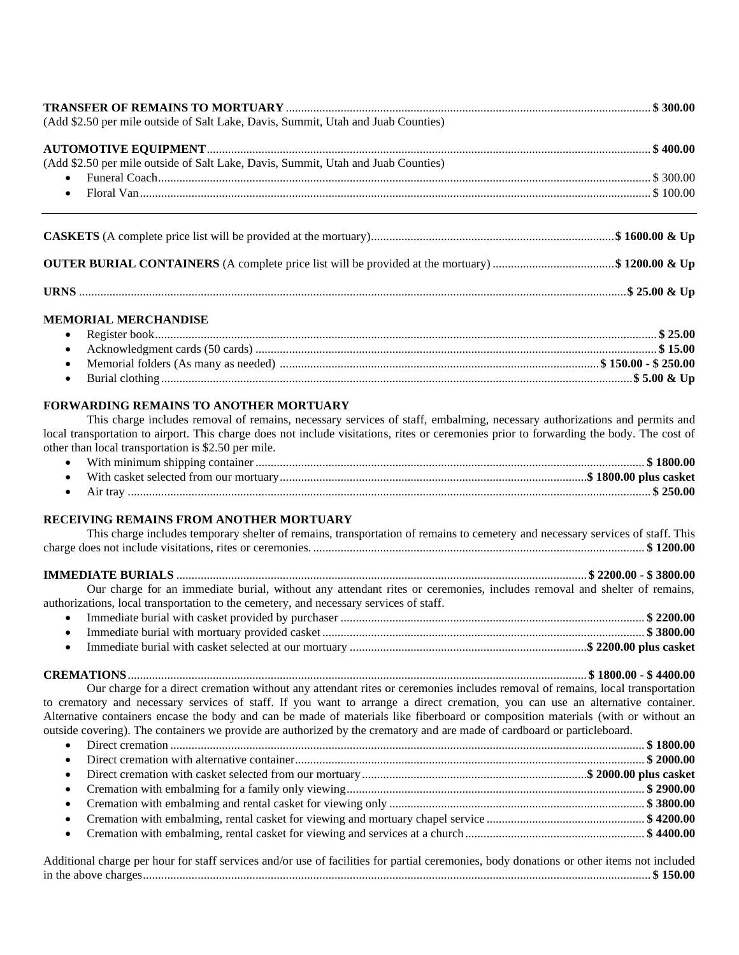| (Add \$2.50 per mile outside of Salt Lake, Davis, Summit, Utah and Juab Counties) |  |
|-----------------------------------------------------------------------------------|--|
|                                                                                   |  |
| (Add \$2.50 per mile outside of Salt Lake, Davis, Summit, Utah and Juab Counties) |  |
|                                                                                   |  |
|                                                                                   |  |
|                                                                                   |  |

**URNS** ....................................................................................................................................................................................**\$ 25.00 & Up**

## **MEMORIAL MERCHANDISE**

# **FORWARDING REMAINS TO ANOTHER MORTUARY**

This charge includes removal of remains, necessary services of staff, embalming, necessary authorizations and permits and local transportation to airport. This charge does not include visitations, rites or ceremonies prior to forwarding the body. The cost of other than local transportation is \$2.50 per mile.

|          | <b>\$1800.00</b> |
|----------|------------------|
|          |                  |
| Air trav | \$250.00         |

## **RECEIVING REMAINS FROM ANOTHER MORTUARY**

| This charge includes temporary shelter of remains, transportation of remains to cemetery and necessary services of staff. This |  |
|--------------------------------------------------------------------------------------------------------------------------------|--|
|                                                                                                                                |  |
|                                                                                                                                |  |
| Our charge for an immediate burial, without any attendant rites or ceremonies, includes removal and shelter of remains,        |  |
| authorizations, local transportation to the cemetery, and necessary services of staff.                                         |  |

**CREMATIONS**....................................................................................................................................................... **\$ 1800.00 - \$ 4400.00** Our charge for a direct cremation without any attendant rites or ceremonies includes removal of remains, local transportation to crematory and necessary services of staff. If you want to arrange a direct cremation, you can use an alternative container.

Alternative containers encase the body and can be made of materials like fiberboard or composition materials (with or without an outside covering). The containers we provide are authorized by the crematory and are made of cardboard or particleboard. • Direct cremation ............................................................................................................................................................ **\$ 1800.00**

Additional charge per hour for staff services and/or use of facilities for partial ceremonies, body donations or other items not included in the above charges....................................................................................................................................................................... **\$ 150.00**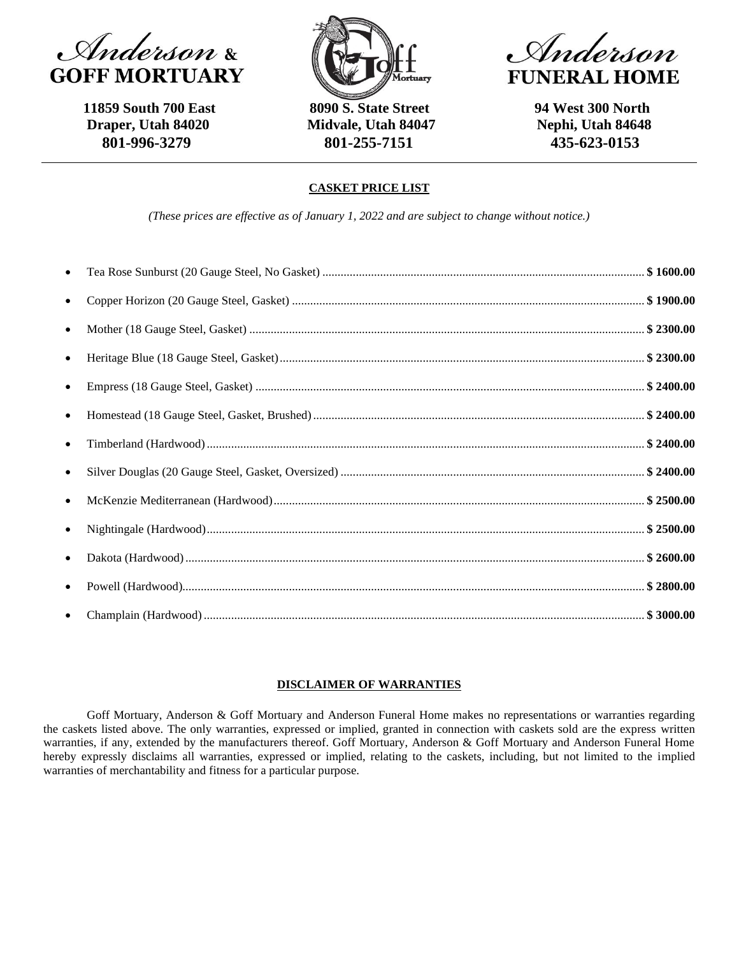

 **11859 South 700 East 8090 S. State Street 94 West 300 North**



 **Draper, Utah 84020 Midvale, Utah 84047 Nephi, Utah 84648 801-996-3279 801-255-7151 435-623-0153**

Miderson **FUNERAL HOME** 

# **CASKET PRICE LIST**

*(These prices are effective as of January 1, 2022 and are subject to change without notice.)*

| $\bullet$ |  |
|-----------|--|
| $\bullet$ |  |
| $\bullet$ |  |
| $\bullet$ |  |
|           |  |
|           |  |
| $\bullet$ |  |
| $\bullet$ |  |
| $\bullet$ |  |
|           |  |
|           |  |
| $\bullet$ |  |
| $\bullet$ |  |

## **DISCLAIMER OF WARRANTIES**

Goff Mortuary, Anderson & Goff Mortuary and Anderson Funeral Home makes no representations or warranties regarding the caskets listed above. The only warranties, expressed or implied, granted in connection with caskets sold are the express written warranties, if any, extended by the manufacturers thereof. Goff Mortuary, Anderson & Goff Mortuary and Anderson Funeral Home hereby expressly disclaims all warranties, expressed or implied, relating to the caskets, including, but not limited to the implied warranties of merchantability and fitness for a particular purpose.